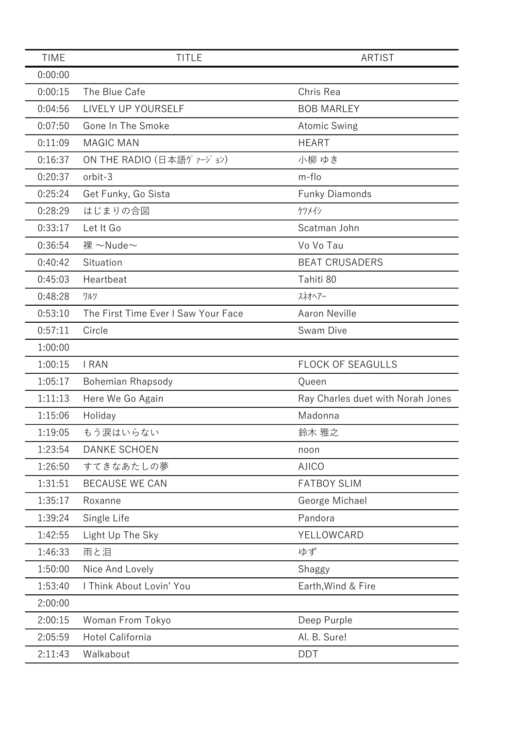| <b>TIME</b> | <b>TITLE</b>                        | <b>ARTIST</b>                     |
|-------------|-------------------------------------|-----------------------------------|
| 0:00:00     |                                     |                                   |
| 0:00:15     | The Blue Cafe                       | Chris Rea                         |
| 0:04:56     | LIVELY UP YOURSELF                  | <b>BOB MARLEY</b>                 |
| 0:07:50     | Gone In The Smoke                   | <b>Atomic Swing</b>               |
| 0:11:09     | <b>MAGIC MAN</b>                    | <b>HEART</b>                      |
| 0:16:37     | ON THE RADIO (日本語ヴァージョン)            | 小柳 ゆき                             |
| 0:20:37     | orbit-3                             | m-flo                             |
| 0:25:24     | Get Funky, Go Sista                 | <b>Funky Diamonds</b>             |
| 0:28:29     | はじまりの合図                             | ケツメイシ                             |
| 0:33:17     | Let It Go                           | Scatman John                      |
| 0:36:54     | 裸 ~Nude~                            | Vo Vo Tau                         |
| 0:40:42     | Situation                           | <b>BEAT CRUSADERS</b>             |
| 0:45:03     | Heartbeat                           | Tahiti 80                         |
| 0:48:28     | ワルツ                                 | スネオヘアー                            |
| 0:53:10     | The First Time Ever I Saw Your Face | <b>Aaron Neville</b>              |
| 0:57:11     | Circle                              | Swam Dive                         |
| 1:00:00     |                                     |                                   |
| 1:00:15     | <b>I RAN</b>                        | <b>FLOCK OF SEAGULLS</b>          |
| 1:05:17     | <b>Bohemian Rhapsody</b>            | Queen                             |
| 1:11:13     | Here We Go Again                    | Ray Charles duet with Norah Jones |
| 1:15:06     | Holiday                             | Madonna                           |
| 1:19:05     | もう涙はいらない                            | 鈴木 雅之                             |
| 1:23:54     | <b>DANKE SCHOEN</b>                 | noon                              |
| 1:26:50     | すてきなあたしの夢                           | <b>AJICO</b>                      |
| 1:31:51     | <b>BECAUSE WE CAN</b>               | <b>FATBOY SLIM</b>                |
| 1:35:17     | Roxanne                             | George Michael                    |
| 1:39:24     | Single Life                         | Pandora                           |
| 1:42:55     | Light Up The Sky                    | YELLOWCARD                        |
| 1:46:33     | 雨と泪                                 | ゆず                                |
| 1:50:00     | Nice And Lovely                     | Shaggy                            |
| 1:53:40     | I Think About Lovin' You            | Earth, Wind & Fire                |
| 2:00:00     |                                     |                                   |
| 2:00:15     | Woman From Tokyo                    | Deep Purple                       |
| 2:05:59     | Hotel California                    | Al. B. Sure!                      |
| 2:11:43     | Walkabout                           | <b>DDT</b>                        |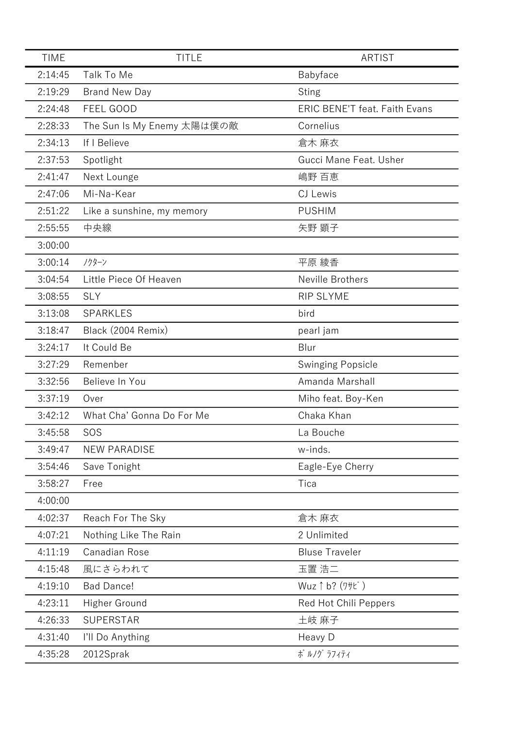| <b>TIME</b> | <b>TITLE</b>               | <b>ARTIST</b>                        |
|-------------|----------------------------|--------------------------------------|
| 2:14:45     | Talk To Me                 | Babyface                             |
| 2:19:29     | <b>Brand New Day</b>       | <b>Sting</b>                         |
| 2:24:48     | FEEL GOOD                  | <b>ERIC BENE'T feat. Faith Evans</b> |
| 2:28:33     | The Sun Is My Enemy 太陽は僕の敵 | Cornelius                            |
| 2:34:13     | If I Believe               | 倉木 麻衣                                |
| 2:37:53     | Spotlight                  | Gucci Mane Feat. Usher               |
| 2:41:47     | Next Lounge                | 嶋野 百恵                                |
| 2:47:06     | Mi-Na-Kear                 | CJ Lewis                             |
| 2:51:22     | Like a sunshine, my memory | <b>PUSHIM</b>                        |
| 2:55:55     | 中央線                        | 矢野 顕子                                |
| 3:00:00     |                            |                                      |
| 3:00:14     | ノクターン                      | 平原 綾香                                |
| 3:04:54     | Little Piece Of Heaven     | Neville Brothers                     |
| 3:08:55     | <b>SLY</b>                 | <b>RIP SLYME</b>                     |
| 3:13:08     | SPARKLES                   | bird                                 |
| 3:18:47     | Black (2004 Remix)         | pearl jam                            |
| 3:24:17     | It Could Be                | Blur                                 |
| 3:27:29     | Remenber                   | Swinging Popsicle                    |
| 3:32:56     | Believe In You             | Amanda Marshall                      |
| 3:37:19     | Over                       | Miho feat. Boy-Ken                   |
| 3:42:12     | What Cha' Gonna Do For Me  | Chaka Khan                           |
| 3:45:58     | SOS                        | La Bouche                            |
| 3:49:47     | <b>NEW PARADISE</b>        | w-inds.                              |
| 3:54:46     | Save Tonight               | Eagle-Eye Cherry                     |
| 3:58:27     | Free                       | Tica                                 |
| 4:00:00     |                            |                                      |
| 4:02:37     | Reach For The Sky          | 倉木 麻衣                                |
| 4:07:21     | Nothing Like The Rain      | 2 Unlimited                          |
| 4:11:19     | Canadian Rose              | <b>Bluse Traveler</b>                |
| 4:15:48     | 風にさらわれて                    | 玉置 浩二                                |
| 4:19:10     | <b>Bad Dance!</b>          | Wuz ↑ b? (ワサビ)                       |
| 4:23:11     | Higher Ground              | Red Hot Chili Peppers                |
| 4:26:33     | <b>SUPERSTAR</b>           | 土岐 麻子                                |
| 4:31:40     | I'll Do Anything           | Heavy D                              |
| 4:35:28     | 2012Sprak                  | ポ ルノグ ラフィティ                          |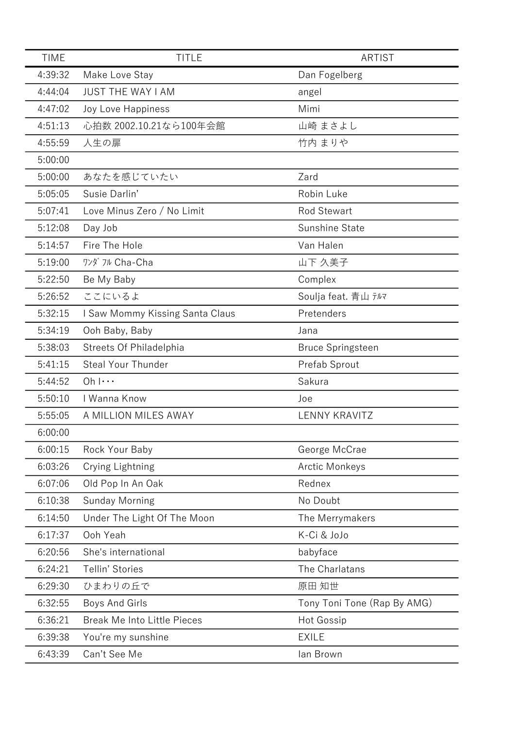| <b>TIME</b> | <b>TITLE</b>                       | <b>ARTIST</b>               |
|-------------|------------------------------------|-----------------------------|
| 4:39:32     | Make Love Stay                     | Dan Fogelberg               |
| 4:44:04     | <b>JUST THE WAY I AM</b>           | angel                       |
| 4:47:02     | <b>Joy Love Happiness</b>          | Mimi                        |
| 4:51:13     | 心拍数 2002.10.21なら100年会館             | 山崎 まさよし                     |
| 4:55:59     | 人生の扉                               | 竹内 まりや                      |
| 5:00:00     |                                    |                             |
| 5:00:00     | あなたを感じていたい                         | Zard                        |
| 5:05:05     | Susie Darlin'                      | Robin Luke                  |
| 5:07:41     | Love Minus Zero / No Limit         | <b>Rod Stewart</b>          |
| 5:12:08     | Day Job                            | Sunshine State              |
| 5:14:57     | Fire The Hole                      | Van Halen                   |
| 5:19:00     | ワンダ フル Cha-Cha                     | 山下 久美子                      |
| 5:22:50     | Be My Baby                         | Complex                     |
| 5:26:52     | ここにいるよ                             | Soulja feat. 青山 テルマ         |
| 5:32:15     | I Saw Mommy Kissing Santa Claus    | Pretenders                  |
| 5:34:19     | Ooh Baby, Baby                     | Jana                        |
| 5:38:03     | Streets Of Philadelphia            | <b>Bruce Springsteen</b>    |
| 5:41:15     | <b>Steal Your Thunder</b>          | Prefab Sprout               |
| 5:44:52     | $Oh   \cdots$                      | Sakura                      |
| 5:50:10     | I Wanna Know                       | Joe                         |
| 5:55:05     | A MILLION MILES AWAY               | <b>LENNY KRAVITZ</b>        |
| 6:00:00     |                                    |                             |
| 6:00:15     | Rock Your Baby                     | George McCrae               |
| 6:03:26     | Crying Lightning                   | <b>Arctic Monkeys</b>       |
| 6:07:06     | Old Pop In An Oak                  | Rednex                      |
| 6:10:38     | <b>Sunday Morning</b>              | No Doubt                    |
| 6:14:50     | Under The Light Of The Moon        | The Merrymakers             |
| 6:17:37     | Ooh Yeah                           | K-Ci & JoJo                 |
| 6:20:56     | She's international                | babyface                    |
| 6:24:21     | Tellin' Stories                    | The Charlatans              |
| 6:29:30     | ひまわりの丘で                            | 原田 知世                       |
| 6:32:55     | Boys And Girls                     | Tony Toni Tone (Rap By AMG) |
| 6:36:21     | <b>Break Me Into Little Pieces</b> | <b>Hot Gossip</b>           |
| 6:39:38     | You're my sunshine                 | <b>EXILE</b>                |
| 6:43:39     | Can't See Me                       | lan Brown                   |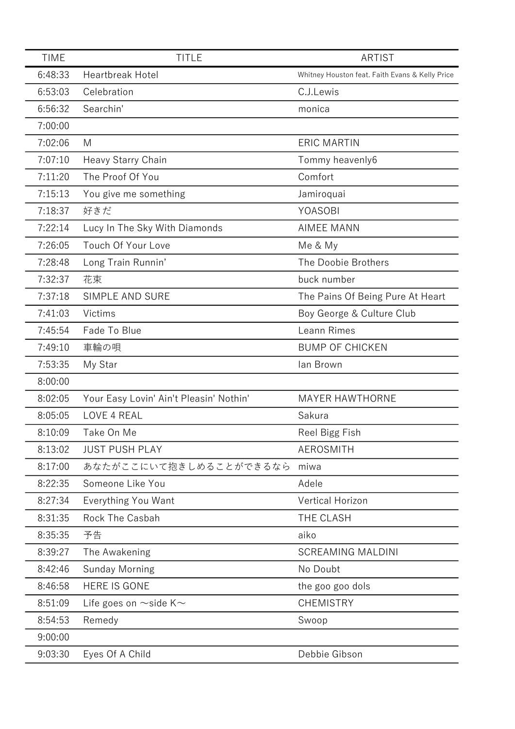| <b>TIME</b> | <b>TITLE</b>                            | <b>ARTIST</b>                                   |
|-------------|-----------------------------------------|-------------------------------------------------|
| 6:48:33     | <b>Heartbreak Hotel</b>                 | Whitney Houston feat. Faith Evans & Kelly Price |
| 6:53:03     | Celebration                             | C.J.Lewis                                       |
| 6:56:32     | Searchin'                               | monica                                          |
| 7:00:00     |                                         |                                                 |
| 7:02:06     | M                                       | <b>ERIC MARTIN</b>                              |
| 7:07:10     | Heavy Starry Chain                      | Tommy heavenly6                                 |
| 7:11:20     | The Proof Of You                        | Comfort                                         |
| 7:15:13     | You give me something                   | Jamiroquai                                      |
| 7:18:37     | 好きだ                                     | YOASOBI                                         |
| 7:22:14     | Lucy In The Sky With Diamonds           | <b>AIMEE MANN</b>                               |
| 7:26:05     | Touch Of Your Love                      | Me & My                                         |
| 7:28:48     | Long Train Runnin'                      | The Doobie Brothers                             |
| 7:32:37     | 花束                                      | buck number                                     |
| 7:37:18     | <b>SIMPLE AND SURE</b>                  | The Pains Of Being Pure At Heart                |
| 7:41:03     | Victims                                 | Boy George & Culture Club                       |
| 7:45:54     | Fade To Blue                            | Leann Rimes                                     |
| 7:49:10     | 車輪の唄                                    | <b>BUMP OF CHICKEN</b>                          |
| 7:53:35     | My Star                                 | lan Brown                                       |
| 8:00:00     |                                         |                                                 |
| 8:02:05     | Your Easy Lovin' Ain't Pleasin' Nothin' | <b>MAYER HAWTHORNE</b>                          |
| 8:05:05     | LOVE 4 REAL                             | Sakura                                          |
| 8:10:09     | Take On Me                              | Reel Bigg Fish                                  |
| 8:13:02     | <b>JUST PUSH PLAY</b>                   | <b>AEROSMITH</b>                                |
| 8:17:00     | あなたがここにいて抱きしめることができるなら                  | miwa                                            |
| 8:22:35     | Someone Like You                        | Adele                                           |
| 8:27:34     | Everything You Want                     | <b>Vertical Horizon</b>                         |
| 8:31:35     | Rock The Casbah                         | THE CLASH                                       |
| 8:35:35     | 予告                                      | aiko                                            |
| 8:39:27     | The Awakening                           | <b>SCREAMING MALDINI</b>                        |
| 8:42:46     | <b>Sunday Morning</b>                   | No Doubt                                        |
| 8:46:58     | <b>HERE IS GONE</b>                     | the goo goo dols                                |
| 8:51:09     | Life goes on $\sim$ side K $\sim$       | <b>CHEMISTRY</b>                                |
| 8:54:53     | Remedy                                  | Swoop                                           |
| 9:00:00     |                                         |                                                 |
| 9:03:30     | Eyes Of A Child                         | Debbie Gibson                                   |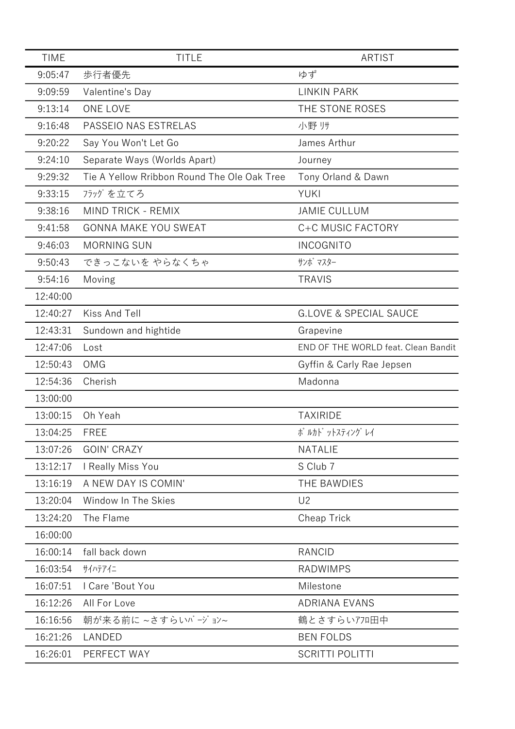| <b>TIME</b> | <b>TITLE</b>                                | <b>ARTIST</b>                       |
|-------------|---------------------------------------------|-------------------------------------|
| 9:05:47     | 歩行者優先                                       | ゆず                                  |
| 9:09:59     | Valentine's Day                             | <b>LINKIN PARK</b>                  |
| 9:13:14     | ONE LOVE                                    | THE STONE ROSES                     |
| 9:16:48     | PASSEIO NAS ESTRELAS                        | 小野帅                                 |
| 9:20:22     | Say You Won't Let Go                        | James Arthur                        |
| 9:24:10     | Separate Ways (Worlds Apart)                | Journey                             |
| 9:29:32     | Tie A Yellow Rribbon Round The Ole Oak Tree | Tony Orland & Dawn                  |
| 9:33:15     | フラッグを立てろ                                    | <b>YUKI</b>                         |
| 9:38:16     | <b>MIND TRICK - REMIX</b>                   | <b>JAMIE CULLUM</b>                 |
| 9:41:58     | <b>GONNA MAKE YOU SWEAT</b>                 | C+C MUSIC FACTORY                   |
| 9:46:03     | <b>MORNING SUN</b>                          | <b>INCOGNITO</b>                    |
| 9:50:43     | できっこないを やらなくちゃ                              | サンボ マスター                            |
| 9:54:16     | Moving                                      | <b>TRAVIS</b>                       |
| 12:40:00    |                                             |                                     |
| 12:40:27    | Kiss And Tell                               | <b>G.LOVE &amp; SPECIAL SAUCE</b>   |
| 12:43:31    | Sundown and hightide                        | Grapevine                           |
| 12:47:06    | Lost                                        | END OF THE WORLD feat. Clean Bandit |
| 12:50:43    | <b>OMG</b>                                  | Gyffin & Carly Rae Jepsen           |
| 12:54:36    | Cherish                                     | Madonna                             |
| 13:00:00    |                                             |                                     |
| 13:00:15    | Oh Yeah                                     | <b>TAXIRIDE</b>                     |
| 13:04:25    | <b>FREE</b>                                 | ポ ルカト゛ットスティング レイ                    |
| 13:07:26    | <b>GOIN' CRAZY</b>                          | <b>NATALIE</b>                      |
| 13:12:17    | I Really Miss You                           | S Club 7                            |
| 13:16:19    | A NEW DAY IS COMIN'                         | THE BAWDIES                         |
| 13:20:04    | Window In The Skies                         | U <sub>2</sub>                      |
| 13:24:20    | The Flame                                   | Cheap Trick                         |
| 16:00:00    |                                             |                                     |
| 16:00:14    | fall back down                              | <b>RANCID</b>                       |
| 16:03:54    | サイハテアイニ                                     | <b>RADWIMPS</b>                     |
| 16:07:51    | I Care 'Bout You                            | Milestone                           |
| 16:12:26    | All For Love                                | <b>ADRIANA EVANS</b>                |
| 16:16:56    | 朝が来る前に ~さすらいバージョン~                          | 鶴とさすらいアフロ田中                         |
| 16:21:26    | LANDED                                      | <b>BEN FOLDS</b>                    |
| 16:26:01    | PERFECT WAY                                 | <b>SCRITTI POLITTI</b>              |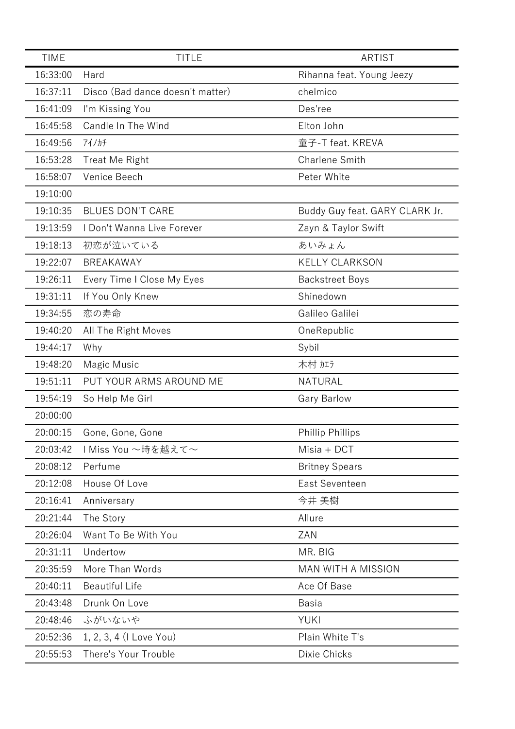| <b>TIME</b> | <b>TITLE</b>                     | <b>ARTIST</b>                  |
|-------------|----------------------------------|--------------------------------|
| 16:33:00    | Hard                             | Rihanna feat. Young Jeezy      |
| 16:37:11    | Disco (Bad dance doesn't matter) | chelmico                       |
| 16:41:09    | I'm Kissing You                  | Des'ree                        |
| 16:45:58    | Candle In The Wind               | Elton John                     |
| 16:49:56    | アイノカチ                            | 童子-T feat. KREVA               |
| 16:53:28    | Treat Me Right                   | <b>Charlene Smith</b>          |
| 16:58:07    | Venice Beech                     | Peter White                    |
| 19:10:00    |                                  |                                |
| 19:10:35    | <b>BLUES DON'T CARE</b>          | Buddy Guy feat. GARY CLARK Jr. |
| 19:13:59    | I Don't Wanna Live Forever       | Zayn & Taylor Swift            |
| 19:18:13    | 初恋が泣いている                         | あいみょん                          |
| 19:22:07    | <b>BREAKAWAY</b>                 | <b>KELLY CLARKSON</b>          |
| 19:26:11    | Every Time I Close My Eyes       | <b>Backstreet Boys</b>         |
| 19:31:11    | If You Only Knew                 | Shinedown                      |
| 19:34:55    | 恋の寿命                             | Galileo Galilei                |
| 19:40:20    | All The Right Moves              | OneRepublic                    |
| 19:44:17    | Why                              | Sybil                          |
| 19:48:20    | Magic Music                      | 木村加方                           |
| 19:51:11    | PUT YOUR ARMS AROUND ME          | NATURAL                        |
| 19:54:19    | So Help Me Girl                  | <b>Gary Barlow</b>             |
| 20:00:00    |                                  |                                |
| 20:00:15    | Gone, Gone, Gone                 | <b>Phillip Phillips</b>        |
| 20:03:42    | ⅠMiss You 〜時を越えて〜                | Misia + DCT                    |
| 20:08:12    | Perfume                          | <b>Britney Spears</b>          |
| 20:12:08    | House Of Love                    | East Seventeen                 |
| 20:16:41    | Anniversary                      | 今井 美樹                          |
| 20:21:44    | The Story                        | Allure                         |
| 20:26:04    | Want To Be With You              | ZAN                            |
| 20:31:11    | Undertow                         | MR. BIG                        |
| 20:35:59    | More Than Words                  | <b>MAN WITH A MISSION</b>      |
| 20:40:11    | <b>Beautiful Life</b>            | Ace Of Base                    |
| 20:43:48    | Drunk On Love                    | Basia                          |
| 20:48:46    | ふがいないや                           | <b>YUKI</b>                    |
| 20:52:36    | 1, 2, 3, 4 (I Love You)          | Plain White T's                |
| 20:55:53    | There's Your Trouble             | Dixie Chicks                   |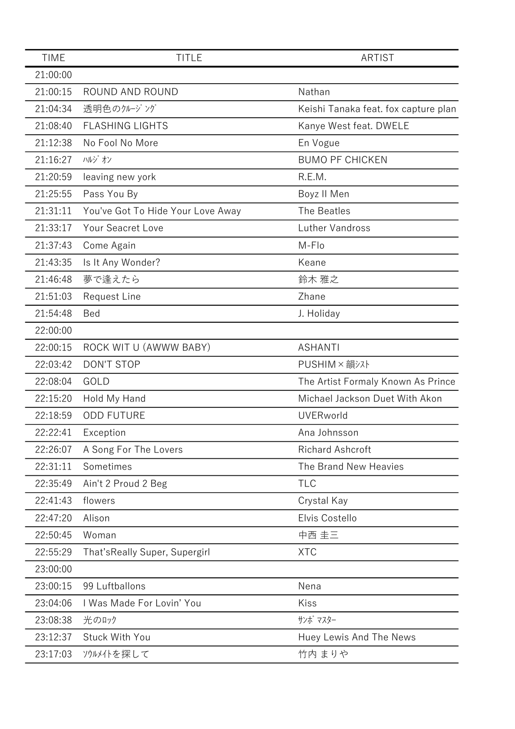| <b>TIME</b> | <b>TITLE</b>                      | <b>ARTIST</b>                        |
|-------------|-----------------------------------|--------------------------------------|
| 21:00:00    |                                   |                                      |
| 21:00:15    | ROUND AND ROUND                   | Nathan                               |
| 21:04:34    | 透明色のクルージング                        | Keishi Tanaka feat. fox capture plan |
| 21:08:40    | <b>FLASHING LIGHTS</b>            | Kanye West feat. DWELE               |
| 21:12:38    | No Fool No More                   | En Vogue                             |
| 21:16:27    | ハルジオン                             | <b>BUMO PF CHICKEN</b>               |
| 21:20:59    | leaving new york                  | R.E.M.                               |
| 21:25:55    | Pass You By                       | Boyz II Men                          |
| 21:31:11    | You've Got To Hide Your Love Away | The Beatles                          |
| 21:33:17    | Your Seacret Love                 | Luther Vandross                      |
| 21:37:43    | Come Again                        | M-Flo                                |
| 21:43:35    | Is It Any Wonder?                 | Keane                                |
| 21:46:48    | 夢で逢えたら                            | 鈴木 雅之                                |
| 21:51:03    | <b>Request Line</b>               | Zhane                                |
| 21:54:48    | Bed                               | J. Holiday                           |
| 22:00:00    |                                   |                                      |
| 22:00:15    | ROCK WIT U (AWWW BABY)            | <b>ASHANTI</b>                       |
| 22:03:42    | <b>DON'T STOP</b>                 | PUSHIM × 韻シスト                        |
| 22:08:04    | GOLD                              | The Artist Formaly Known As Prince   |
| 22:15:20    | Hold My Hand                      | Michael Jackson Duet With Akon       |
| 22:18:59    | <b>ODD FUTURE</b>                 | <b>UVERworld</b>                     |
| 22:22:41    | Exception                         | Ana Johnsson                         |
| 22:26:07    | A Song For The Lovers             | <b>Richard Ashcroft</b>              |
| 22:31:11    | Sometimes                         | The Brand New Heavies                |
| 22:35:49    | Ain't 2 Proud 2 Beg               | <b>TLC</b>                           |
| 22:41:43    | flowers                           | Crystal Kay                          |
| 22:47:20    | Alison                            | Elvis Costello                       |
| 22:50:45    | Woman                             | 中西 圭三                                |
| 22:55:29    | That'sReally Super, Supergirl     | <b>XTC</b>                           |
| 23:00:00    |                                   |                                      |
| 23:00:15    | 99 Luftballons                    | Nena                                 |
| 23:04:06    | I Was Made For Lovin' You         | Kiss                                 |
| 23:08:38    | 光のロック                             | サンボ マスター                             |
| 23:12:37    | Stuck With You                    | Huey Lewis And The News              |
| 23:17:03    | ソウルメイトを探して                        | 竹内 まりや                               |